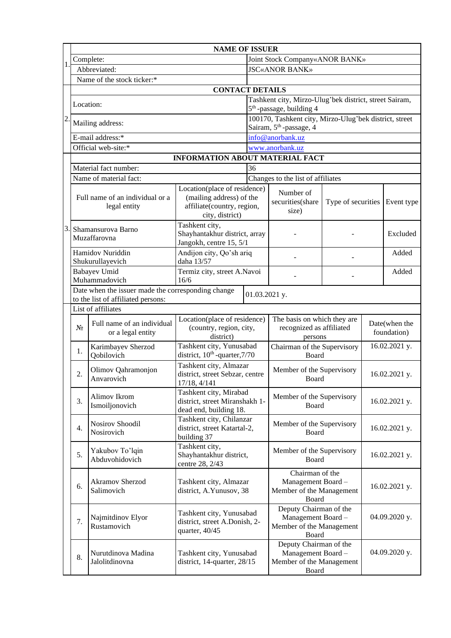| <b>NAME OF ISSUER</b>                                                                                     |                                                 |                                                                                                                         |                                                                                                           |                                                                                               |                                                                                   |                    |                              |               |  |
|-----------------------------------------------------------------------------------------------------------|-------------------------------------------------|-------------------------------------------------------------------------------------------------------------------------|-----------------------------------------------------------------------------------------------------------|-----------------------------------------------------------------------------------------------|-----------------------------------------------------------------------------------|--------------------|------------------------------|---------------|--|
|                                                                                                           |                                                 | Complete:                                                                                                               | Joint Stock Company«ANOR BANK»                                                                            |                                                                                               |                                                                                   |                    |                              |               |  |
|                                                                                                           | Abbreviated:                                    |                                                                                                                         |                                                                                                           |                                                                                               | <b>JSC«ANOR BANK»</b>                                                             |                    |                              |               |  |
|                                                                                                           |                                                 | Name of the stock ticker:*                                                                                              |                                                                                                           |                                                                                               |                                                                                   |                    |                              |               |  |
|                                                                                                           |                                                 | <b>CONTACT DETAILS</b>                                                                                                  |                                                                                                           |                                                                                               |                                                                                   |                    |                              |               |  |
|                                                                                                           | Location:                                       |                                                                                                                         |                                                                                                           | Tashkent city, Mirzo-Ulug'bek district, street Sairam,<br>$5th$ -passage, building 4          |                                                                                   |                    |                              |               |  |
| $\overline{c}$                                                                                            | Mailing address:                                |                                                                                                                         |                                                                                                           | 100170, Tashkent city, Mirzo-Ulug'bek district, street<br>Sairam, 5 <sup>th</sup> -passage, 4 |                                                                                   |                    |                              |               |  |
|                                                                                                           |                                                 | E-mail address:*                                                                                                        | info@anorbank.uz                                                                                          |                                                                                               |                                                                                   |                    |                              |               |  |
|                                                                                                           |                                                 | Official web-site:*                                                                                                     |                                                                                                           | www.anorbank.uz                                                                               |                                                                                   |                    |                              |               |  |
|                                                                                                           |                                                 |                                                                                                                         | <b>INFORMATION ABOUT MATERIAL FACT</b>                                                                    |                                                                                               |                                                                                   |                    |                              |               |  |
|                                                                                                           |                                                 | Material fact number:<br>36                                                                                             |                                                                                                           |                                                                                               |                                                                                   |                    |                              |               |  |
|                                                                                                           |                                                 | Name of material fact:                                                                                                  |                                                                                                           |                                                                                               | Changes to the list of affiliates                                                 |                    |                              |               |  |
|                                                                                                           | Full name of an individual or a<br>legal entity |                                                                                                                         | Location(place of residence)<br>(mailing address) of the<br>affiliate(country, region,<br>city, district) |                                                                                               | Number of<br>securities(share<br>size)                                            | Type of securities |                              | Event type    |  |
|                                                                                                           | Shamansurova Barno<br>Muzaffarovna              |                                                                                                                         | Tashkent city,<br>Shayhantakhur district, array<br>Jangokh, centre 15, 5/1                                |                                                                                               |                                                                                   |                    |                              |               |  |
|                                                                                                           | Hamidov Nuriddin<br>Shukurullayevich            |                                                                                                                         | Andijon city, Qo'sh ariq<br>daha 13/57                                                                    |                                                                                               |                                                                                   |                    |                              | Added         |  |
|                                                                                                           | <b>Babayev Umid</b><br>Muhammadovich            |                                                                                                                         | Termiz city, street A.Navoi<br>16/6                                                                       |                                                                                               |                                                                                   |                    |                              | Added         |  |
| Date when the issuer made the corresponding change<br>01.03.2021 y.<br>to the list of affiliated persons: |                                                 |                                                                                                                         |                                                                                                           |                                                                                               |                                                                                   |                    |                              |               |  |
|                                                                                                           | List of affiliates                              |                                                                                                                         |                                                                                                           |                                                                                               |                                                                                   |                    |                              |               |  |
|                                                                                                           | $N_2$                                           | Location(place of residence)<br>Full name of an individual<br>(country, region, city,<br>or a legal entity<br>district) |                                                                                                           |                                                                                               | The basis on which they are<br>recognized as affiliated<br>persons                |                    | Date(when the<br>foundation) |               |  |
|                                                                                                           | 1.                                              | Karimbayev Sherzod<br>Qobilovich                                                                                        | Tashkent city, Yunusabad<br>district, 10 <sup>th</sup> -quarter, 7/70                                     |                                                                                               | Chairman of the Supervisory<br>Board                                              |                    | 16.02.2021 y.                |               |  |
|                                                                                                           | 2.                                              | Olimov Qahramonjon<br>Anvarovich                                                                                        | Tashkent city, Almazar<br>district, street Sebzar, centre<br>17/18, 4/141                                 |                                                                                               | Member of the Supervisory<br>Board                                                |                    |                              | 16.02.2021 y. |  |
|                                                                                                           | 3.                                              | Alimov Ikrom<br>Ismoiljonovich                                                                                          | Tashkent city, Mirabad<br>district, street Miranshakh 1-<br>dead end, building 18.                        |                                                                                               | Member of the Supervisory<br>Board                                                |                    | 16.02.2021 y.                |               |  |
|                                                                                                           | $\overline{4}$ .                                | Nosirov Shoodil<br>Nosirovich                                                                                           | Tashkent city, Chilanzar<br>district, street Katartal-2,<br>building 37                                   |                                                                                               | Member of the Supervisory<br>Board                                                |                    | 16.02.2021 y.                |               |  |
|                                                                                                           | Yakubov To'lqin<br>5.<br>Abduvohidovich         |                                                                                                                         | Tashkent city,<br>Shayhantakhur district,<br>centre 28, 2/43                                              |                                                                                               | Member of the Supervisory<br>Board                                                |                    | 16.02.2021 y.                |               |  |
|                                                                                                           | 6.                                              | Akramov Sherzod<br>Salimovich                                                                                           | Tashkent city, Almazar<br>district, A.Yunusov, 38                                                         |                                                                                               | Chairman of the<br>Management Board -<br>Member of the Management<br>Board        |                    | 16.02.2021 y.                |               |  |
|                                                                                                           | Najmitdinov Elyor<br>7.<br>Rustamovich          |                                                                                                                         | Tashkent city, Yunusabad<br>district, street A.Donish, 2-<br>quarter, 40/45                               |                                                                                               | Deputy Chairman of the<br>Management Board -<br>Member of the Management<br>Board |                    |                              | 04.09.2020 y. |  |
|                                                                                                           | 8.                                              | Nurutdinova Madina<br>Jalolitdinovna                                                                                    | Tashkent city, Yunusabad<br>district, 14-quarter, 28/15                                                   |                                                                                               | Deputy Chairman of the<br>Management Board -<br>Member of the Management<br>Board |                    |                              | 04.09.2020 y. |  |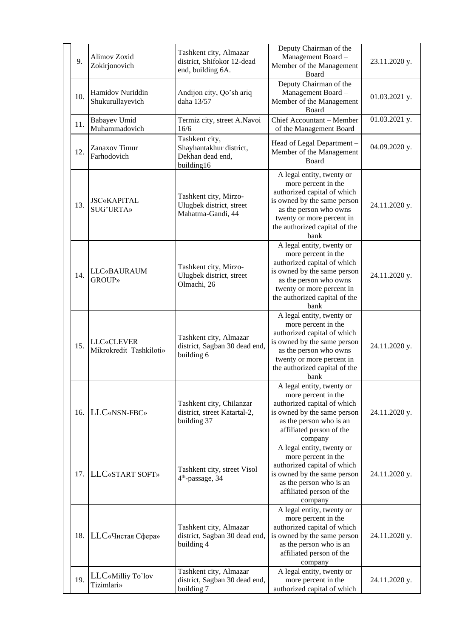| 9.  | Alimov Zoxid<br>Zokirjonovich                | Tashkent city, Almazar<br>district, Shifokor 12-dead<br>end, building 6A.   | Deputy Chairman of the<br>Management Board -<br>Member of the Management<br>Board                                                                                                                              | 23.11.2020 y. |
|-----|----------------------------------------------|-----------------------------------------------------------------------------|----------------------------------------------------------------------------------------------------------------------------------------------------------------------------------------------------------------|---------------|
| 10. | Hamidov Nuriddin<br>Shukurullayevich         | Andijon city, Qo'sh ariq<br>daha 13/57                                      | Deputy Chairman of the<br>Management Board -<br>Member of the Management<br>Board                                                                                                                              | 01.03.2021 y. |
| 11. | Babayev Umid<br>Muhammadovich                | Termiz city, street A.Navoi<br>16/6                                         | Chief Accountant - Member<br>of the Management Board                                                                                                                                                           | 01.03.2021 y. |
| 12. | Zanaxov Timur<br>Farhodovich                 | Tashkent city,<br>Shayhantakhur district,<br>Dekhan dead end,<br>building16 | Head of Legal Department -<br>Member of the Management<br>Board                                                                                                                                                | 04.09.2020 y. |
| 13. | <b>JSC«KAPITAL</b><br><b>SUG'URTA»</b>       | Tashkent city, Mirzo-<br>Ulugbek district, street<br>Mahatma-Gandi, 44      | A legal entity, twenty or<br>more percent in the<br>authorized capital of which<br>is owned by the same person<br>as the person who owns<br>twenty or more percent in<br>the authorized capital of the<br>bank | 24.11.2020 y. |
| 14. | <b>LLC«BAURAUM</b><br><b>GROUP»</b>          | Tashkent city, Mirzo-<br>Ulugbek district, street<br>Olmachi, 26            |                                                                                                                                                                                                                | 24.11.2020 y. |
| 15. | <b>LLC«CLEVER</b><br>Mikrokredit Tashkiloti» | Tashkent city, Almazar<br>district, Sagban 30 dead end,<br>building 6       | A legal entity, twenty or<br>more percent in the<br>authorized capital of which<br>is owned by the same person<br>as the person who owns<br>twenty or more percent in<br>the authorized capital of the<br>bank | 24.11.2020 y. |
| 16. | LLC«NSN-FBC»                                 | Tashkent city, Chilanzar<br>district, street Katartal-2,<br>building 37     | A legal entity, twenty or<br>more percent in the<br>authorized capital of which<br>is owned by the same person<br>as the person who is an<br>affiliated person of the<br>company                               | 24.11.2020 y. |
| 17. | LLC«START SOFT»                              | Tashkent city, street Visol<br>4 <sup>th</sup> -passage, 34                 | A legal entity, twenty or<br>more percent in the<br>authorized capital of which<br>is owned by the same person<br>as the person who is an<br>affiliated person of the<br>company                               | 24.11.2020 y. |
| 18. | LLC«Чистая Сфера»                            | Tashkent city, Almazar<br>district, Sagban 30 dead end,<br>building 4       | A legal entity, twenty or<br>more percent in the<br>authorized capital of which<br>is owned by the same person<br>as the person who is an<br>affiliated person of the<br>company                               | 24.11.2020 y. |
| 19. | LLC«Milliy To`lov<br>Tizimlari»              | Tashkent city, Almazar<br>district, Sagban 30 dead end,<br>building 7       | A legal entity, twenty or<br>more percent in the<br>authorized capital of which                                                                                                                                | 24.11.2020 y. |